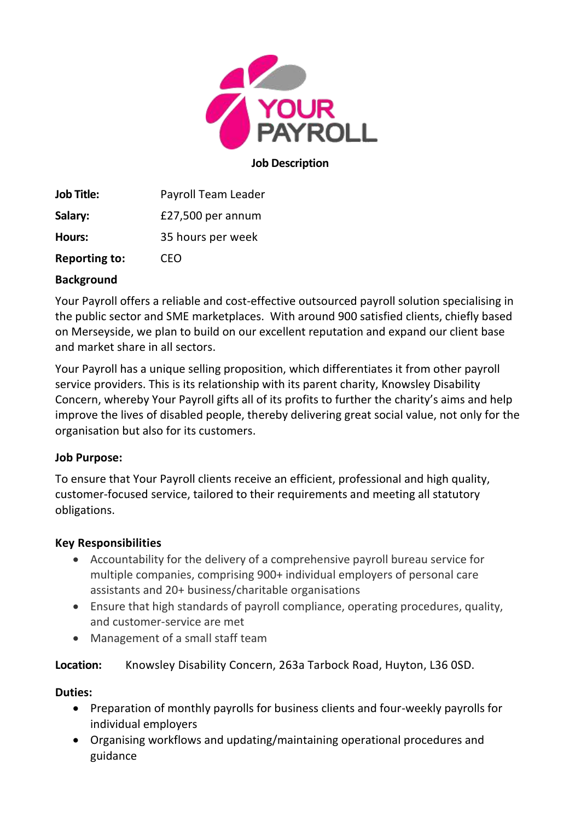

#### **Job Description**

**Job Title:** Payroll Team Leader **Salary:** £27,500 per annum **Hours:** 35 hours per week **Reporting to:** CEO

## **Background**

Your Payroll offers a reliable and cost-effective outsourced payroll solution specialising in the public sector and SME marketplaces. With around 900 satisfied clients, chiefly based on Merseyside, we plan to build on our excellent reputation and expand our client base and market share in all sectors.

Your Payroll has a unique selling proposition, which differentiates it from other payroll service providers. This is its relationship with its parent charity, Knowsley Disability Concern, whereby Your Payroll gifts all of its profits to further the charity's aims and help improve the lives of disabled people, thereby delivering great social value, not only for the organisation but also for its customers.

## **Job Purpose:**

To ensure that Your Payroll clients receive an efficient, professional and high quality, customer-focused service, tailored to their requirements and meeting all statutory obligations.

# **Key Responsibilities**

- Accountability for the delivery of a comprehensive payroll bureau service for multiple companies, comprising 900+ individual employers of personal care assistants and 20+ business/charitable organisations
- Ensure that high standards of payroll compliance, operating procedures, quality, and customer-service are met
- Management of a small staff team

**Location:** Knowsley Disability Concern, 263a Tarbock Road, Huyton, L36 0SD.

# **Duties:**

- Preparation of monthly payrolls for business clients and four-weekly payrolls for individual employers
- Organising workflows and updating/maintaining operational procedures and guidance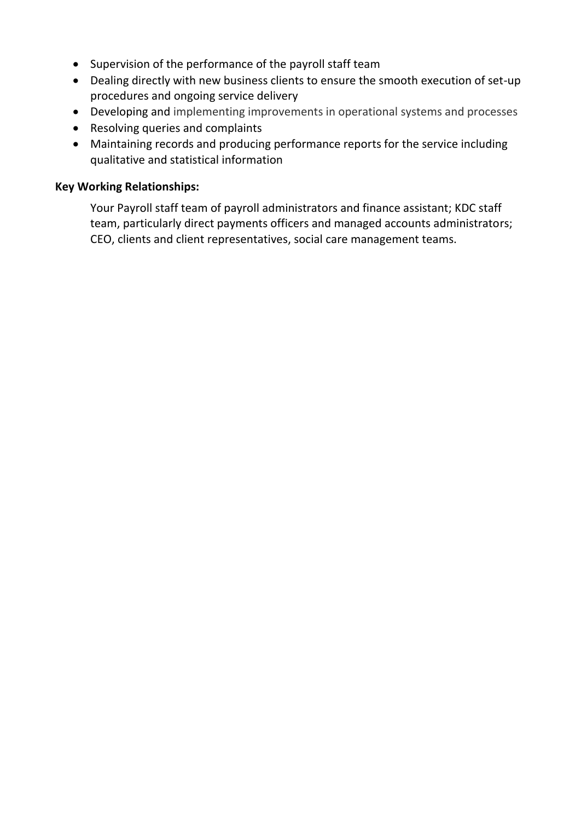- Supervision of the performance of the payroll staff team
- Dealing directly with new business clients to ensure the smooth execution of set-up procedures and ongoing service delivery
- Developing and implementing improvements in operational systems and processes
- Resolving queries and complaints
- Maintaining records and producing performance reports for the service including qualitative and statistical information

#### **Key Working Relationships:**

Your Payroll staff team of payroll administrators and finance assistant; KDC staff team, particularly direct payments officers and managed accounts administrators; CEO, clients and client representatives, social care management teams.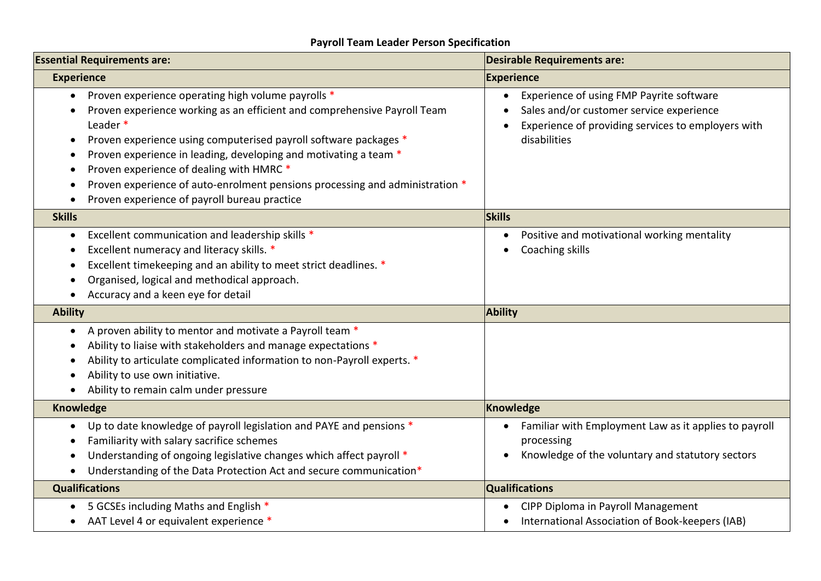# **Payroll Team Leader Person Specification**

| <b>Essential Requirements are:</b>                                                                                                                                                                                                                                                                                                                                                                                                                             | <b>Desirable Requirements are:</b>                                                                                                                         |
|----------------------------------------------------------------------------------------------------------------------------------------------------------------------------------------------------------------------------------------------------------------------------------------------------------------------------------------------------------------------------------------------------------------------------------------------------------------|------------------------------------------------------------------------------------------------------------------------------------------------------------|
| <b>Experience</b>                                                                                                                                                                                                                                                                                                                                                                                                                                              | <b>Experience</b>                                                                                                                                          |
| Proven experience operating high volume payrolls *<br>Proven experience working as an efficient and comprehensive Payroll Team<br>Leader *<br>Proven experience using computerised payroll software packages *<br>Proven experience in leading, developing and motivating a team *<br>Proven experience of dealing with HMRC *<br>Proven experience of auto-enrolment pensions processing and administration *<br>Proven experience of payroll bureau practice | Experience of using FMP Payrite software<br>Sales and/or customer service experience<br>Experience of providing services to employers with<br>disabilities |
| <b>Skills</b>                                                                                                                                                                                                                                                                                                                                                                                                                                                  | <b>Skills</b>                                                                                                                                              |
| Excellent communication and leadership skills *<br>$\bullet$<br>Excellent numeracy and literacy skills. *<br>Excellent timekeeping and an ability to meet strict deadlines. *<br>Organised, logical and methodical approach.<br>Accuracy and a keen eye for detail                                                                                                                                                                                             | Positive and motivational working mentality<br>$\bullet$<br>Coaching skills                                                                                |
| <b>Ability</b>                                                                                                                                                                                                                                                                                                                                                                                                                                                 | <b>Ability</b>                                                                                                                                             |
| A proven ability to mentor and motivate a Payroll team *<br>$\bullet$<br>Ability to liaise with stakeholders and manage expectations *<br>Ability to articulate complicated information to non-Payroll experts. *<br>Ability to use own initiative.<br>Ability to remain calm under pressure                                                                                                                                                                   |                                                                                                                                                            |
| Knowledge                                                                                                                                                                                                                                                                                                                                                                                                                                                      | Knowledge                                                                                                                                                  |
| Up to date knowledge of payroll legislation and PAYE and pensions *<br>Familiarity with salary sacrifice schemes<br>Understanding of ongoing legislative changes which affect payroll *<br>Understanding of the Data Protection Act and secure communication*                                                                                                                                                                                                  | Familiar with Employment Law as it applies to payroll<br>processing<br>Knowledge of the voluntary and statutory sectors                                    |
| <b>Qualifications</b>                                                                                                                                                                                                                                                                                                                                                                                                                                          | <b>Qualifications</b>                                                                                                                                      |
| 5 GCSEs including Maths and English *<br>AAT Level 4 or equivalent experience *                                                                                                                                                                                                                                                                                                                                                                                | CIPP Diploma in Payroll Management<br>International Association of Book-keepers (IAB)                                                                      |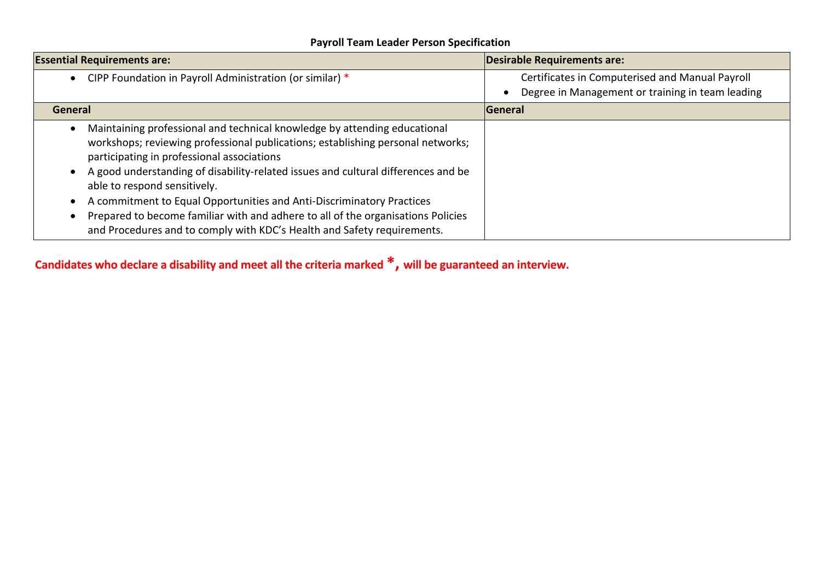# **Payroll Team Leader Person Specification**

| <b>Essential Requirements are:</b>                                                                                                                                                                                                                                                                                                                                                                                                                                                                                                                                      | Desirable Requirements are:                                                                         |
|-------------------------------------------------------------------------------------------------------------------------------------------------------------------------------------------------------------------------------------------------------------------------------------------------------------------------------------------------------------------------------------------------------------------------------------------------------------------------------------------------------------------------------------------------------------------------|-----------------------------------------------------------------------------------------------------|
| CIPP Foundation in Payroll Administration (or similar) *                                                                                                                                                                                                                                                                                                                                                                                                                                                                                                                | Certificates in Computerised and Manual Payroll<br>Degree in Management or training in team leading |
| General                                                                                                                                                                                                                                                                                                                                                                                                                                                                                                                                                                 | General                                                                                             |
| Maintaining professional and technical knowledge by attending educational<br>workshops; reviewing professional publications; establishing personal networks;<br>participating in professional associations<br>A good understanding of disability-related issues and cultural differences and be<br>able to respond sensitively.<br>A commitment to Equal Opportunities and Anti-Discriminatory Practices<br>Prepared to become familiar with and adhere to all of the organisations Policies<br>and Procedures and to comply with KDC's Health and Safety requirements. |                                                                                                     |

**Candidates who declare a disability and meet all the criteria marked \*, will be guaranteed an interview.**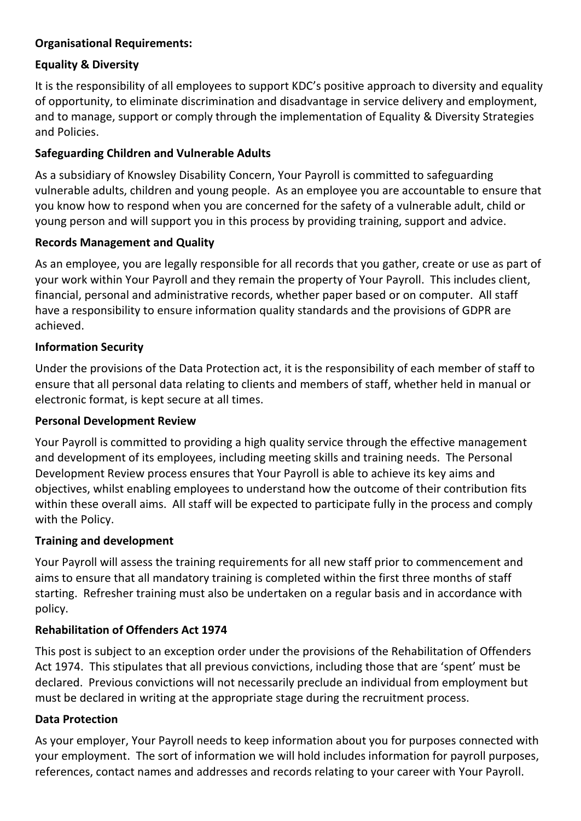# **Organisational Requirements:**

# **Equality & Diversity**

It is the responsibility of all employees to support KDC's positive approach to diversity and equality of opportunity, to eliminate discrimination and disadvantage in service delivery and employment, and to manage, support or comply through the implementation of Equality & Diversity Strategies and Policies.

# **Safeguarding Children and Vulnerable Adults**

As a subsidiary of Knowsley Disability Concern, Your Payroll is committed to safeguarding vulnerable adults, children and young people. As an employee you are accountable to ensure that you know how to respond when you are concerned for the safety of a vulnerable adult, child or young person and will support you in this process by providing training, support and advice.

## **Records Management and Quality**

As an employee, you are legally responsible for all records that you gather, create or use as part of your work within Your Payroll and they remain the property of Your Payroll. This includes client, financial, personal and administrative records, whether paper based or on computer. All staff have a responsibility to ensure information quality standards and the provisions of GDPR are achieved.

# **Information Security**

Under the provisions of the Data Protection act, it is the responsibility of each member of staff to ensure that all personal data relating to clients and members of staff, whether held in manual or electronic format, is kept secure at all times.

## **Personal Development Review**

Your Payroll is committed to providing a high quality service through the effective management and development of its employees, including meeting skills and training needs. The Personal Development Review process ensures that Your Payroll is able to achieve its key aims and objectives, whilst enabling employees to understand how the outcome of their contribution fits within these overall aims. All staff will be expected to participate fully in the process and comply with the Policy.

## **Training and development**

Your Payroll will assess the training requirements for all new staff prior to commencement and aims to ensure that all mandatory training is completed within the first three months of staff starting. Refresher training must also be undertaken on a regular basis and in accordance with policy.

## **Rehabilitation of Offenders Act 1974**

This post is subject to an exception order under the provisions of the Rehabilitation of Offenders Act 1974. This stipulates that all previous convictions, including those that are 'spent' must be declared. Previous convictions will not necessarily preclude an individual from employment but must be declared in writing at the appropriate stage during the recruitment process.

## **Data Protection**

As your employer, Your Payroll needs to keep information about you for purposes connected with your employment. The sort of information we will hold includes information for payroll purposes, references, contact names and addresses and records relating to your career with Your Payroll.